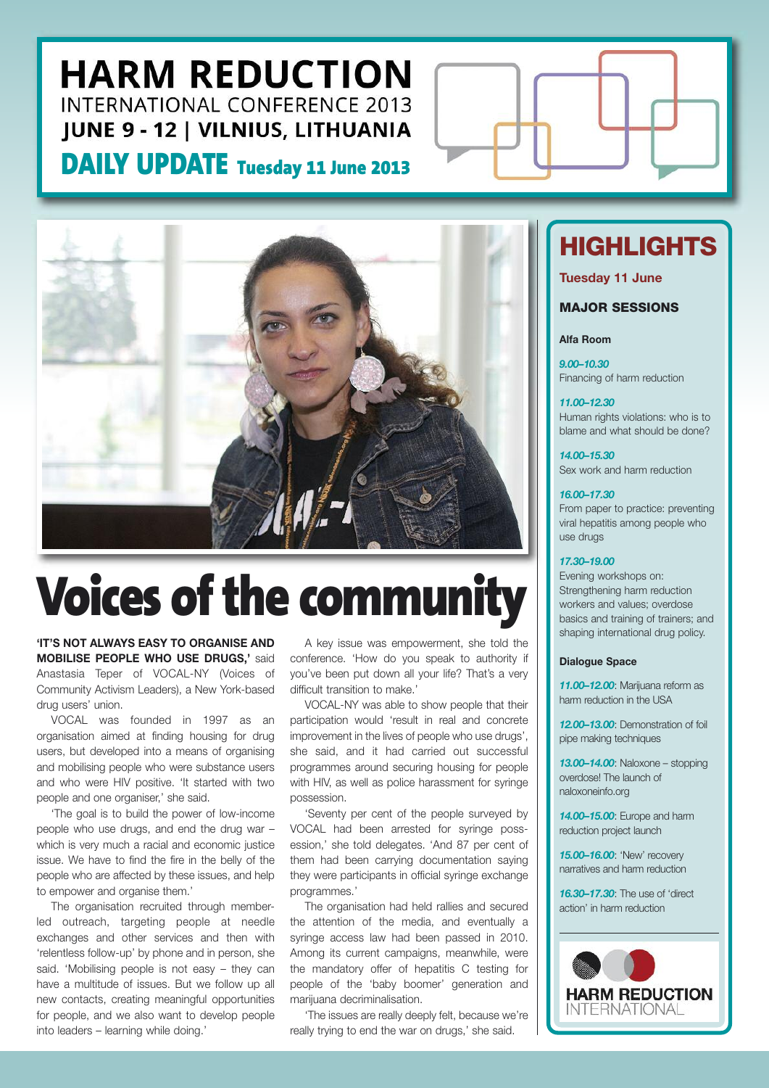## **HARM REDUCTION INTERNATIONAL CONFERENCE 2013 JUNE 9 - 12 | VILNIUS, LITHUANIA**

### **DAILY UPDATE Tuesday <sup>11</sup> June <sup>2013</sup>**



# **Voices of the community**

**'IT'S NOT ALWAYS EASY TO ORGANISE AND MOBILISE PEOPLE WHO USE DRUGS,'** said Anastasia Teper of VOCAL-NY (Voices of Community Activism Leaders), a New York-based drug users' union.

VOCAL was founded in 1997 as an organisation aimed at finding housing for drug users, but developed into a means of organising and mobilising people who were substance users and who were HIV positive. 'It started with two people and one organiser,' she said.

'The goal is to build the power of low-income people who use drugs, and end the drug war – which is very much a racial and economic justice issue. We have to find the fire in the belly of the people who are affected by these issues, and help to empower and organise them.'

The organisation recruited through memberled outreach, targeting people at needle exchanges and other services and then with 'relentless follow-up' by phone and in person, she said. 'Mobilising people is not easy – they can have a multitude of issues. But we follow up all new contacts, creating meaningful opportunities for people, and we also want to develop people into leaders – learning while doing.'

A key issue was empowerment, she told the conference. 'How do you speak to authority if you've been put down all your life? That's a very difficult transition to make.'

VOCAL-NY was able to show people that their participation would 'result in real and concrete improvement in the lives of people who use drugs', she said, and it had carried out successful programmes around securing housing for people with HIV, as well as police harassment for syringe possession.

'Seventy per cent of the people surveyed by VOCAL had been arrested for syringe possession,' she told delegates. 'And 87 per cent of them had been carrying documentation saying they were participants in official syringe exchange programmes.'

The organisation had held rallies and secured the attention of the media, and eventually a syringe access law had been passed in 2010. Among its current campaigns, meanwhile, were the mandatory offer of hepatitis C testing for people of the 'baby boomer' generation and marijuana decriminalisation.

'The issues are really deeply felt, because we're really trying to end the war on drugs,' she said.

## **HIGHLIGHTS**

**Tuesday 11 June**

### **MAJOR SESSIONS**

#### **Alfa Room**

*9.00–10.30* Financing of harm reduction

#### *11.00–12.30*

Human rights violations: who is to blame and what should be done?

*14.00–15.30* Sex work and harm reduction

#### *16.00–17.30*

From paper to practice: preventing viral hepatitis among people who use drugs

#### *17.30–19.00*

Evening workshops on: Strengthening harm reduction workers and values; overdose basics and training of trainers; and shaping international drug policy.

#### **Dialogue Space**

*11.00–12.00*: Marijuana reform as harm reduction in the USA

*12.00–13.00*: Demonstration of foil pipe making techniques

*13.00–14.00*: Naloxone – stopping overdose! The launch of naloxoneinfo.org

*14.00–15.00*: Europe and harm reduction project launch

*15.00–16.00*: 'New' recovery narratives and harm reduction

*16.30–17.30*: The use of 'direct action' in harm reduction

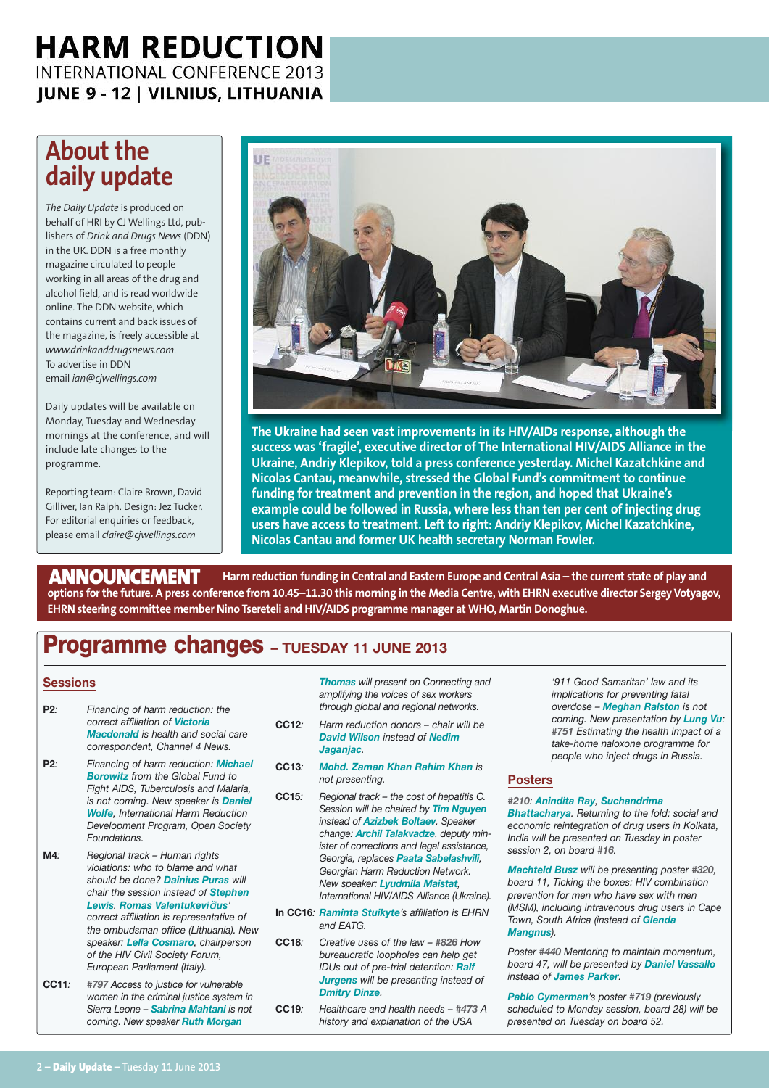### **HARM REDUCTION** INTERNATIONAL CONFERENCE 2013 **JUNE 9 - 12 | VILNIUS, LITHUANIA**

### **About the daily update**

*The Daily Update* is produced on behalf of HRI by CJ Wellings Ltd, publishers of *Drink and Drugs News* (DDN) in the UK. DDN is a free monthly magazine circulated to people working in all areas of the drug and alcohol field, and is read worldwide online. The DDN website, which contains current and back issues of the magazine, is freely accessible at *www.drinkanddrugsnews.com*. To advertise in DDN email *ian@cjwellings.com*

Daily updates will be available on Monday, Tuesday and Wednesday mornings at the conference, and will include late changes to the programme.

Reporting team: Claire Brown, David Gilliver, Ian Ralph. Design: Jez Tucker. For editorial enquiries or feedback, please email *claire@cjwellings.com*



**The Ukraine had seen vast improvements in its HIV/AIDs response, although the success was 'fragile', executive director of The International HIV/AIDS Alliance in the Ukraine, Andriy Klepikov, told a press conference yesterday. Michel Kazatchkine and Nicolas Cantau, meanwhile, stressed the Global Fund's commitment to continue funding for treatment and prevention in the region, and hoped that Ukraine's example could be followed in Russia, where less than ten per cent of injecting drug users have access to treatment. Left to right: Andriy Klepikov, Michel Kazatchkine, Nicolas Cantau and former UK health secretary Norman Fowler.**

Harm reduction funding in Central and Eastern Europe and Central Asia - the current state of play and options for the future. A press conference from 10.45-11.30 this morning in the Media Centre, with EHRN executive director Sergey Votyagov, **EHRN steering committee member Nino Tsereteli and HIV/AIDS programme manager at WHO, Martin Donoghue. ANNOUNCEMENT**

### **Programme changes – TUESDAY <sup>11</sup> JUNE <sup>2013</sup>**

#### **Sessions**

- **P2***: Financing of harm reduction: the correct affiliation of Victoria Macdonald is health and social care correspondent, Channel 4 News.*
- **P2***: Financing of harm reduction: Michael Borowitz from the Global Fund to Fight AIDS, Tuberculosis and Malaria, is not coming. New speaker is Daniel Wolfe, International Harm Reduction Development Program, Open Society Foundations.*
- **M4***: Regional track – Human rights violations: who to blame and what should be done? Dainius Puras will chair the session instead of Stephen Lewis. Romas Valentukevi*č*ius' correct affiliation is representative of the ombudsman office (Lithuania). New speaker: Lella Cosmaro, chairperson of the HIV Civil Society Forum, European Parliament (Italy).*
- **CC11***: #797 Access to justice for vulnerable women in the criminal justice system in Sierra Leone – Sabrina Mahtani is not coming. New speaker Ruth Morgan*

*Thomas will present on Connecting and amplifying the voices of sex workers through global and regional networks.*

- **CC12***: Harm reduction donors – chair will be David Wilson instead of Nedim Jaganjac.*
- **CC13***: Mohd. Zaman Khan Rahim Khan is not presenting.*
- **CC15***: Regional track – the cost of hepatitis C. Session will be chaired by Tim Nguyen instead of Azizbek Boltaev. Speaker change: Archil Talakvadze, deputy minister of corrections and legal assistance, Georgia, replaces Paata Sabelashvili, Georgian Harm Reduction Network. New speaker: Lyudmila Maistat, International HIV/AIDS Alliance (Ukraine).*
- **In CC16***: Raminta Stuikyte's affiliation is EHRN and EATG.*
- **CC18***: Creative uses of the law – #826 How bureaucratic loopholes can help get IDUs out of pre-trial detention: Ralf Jurgens will be presenting instead of Dmitry Dinze.*
- **CC19***: Healthcare and health needs – #473 A history and explanation of the USA*

*'911 Good Samaritan' law and its implications for preventing fatal overdose – Meghan Ralston is not coming. New presentation by Lung Vu: #751 Estimating the health impact of a take-home naloxone programme for people who inject drugs in Russia.*

### **Posters**

#### *#210: Anindita Ray, Suchandrima*

*Bhattacharya. Returning to the fold: social and economic reintegration of drug users in Kolkata, India will be presented on Tuesday in poster session 2, on board #16.*

*Machteld Busz will be presenting poster #320, board 11, Ticking the boxes: HIV combination prevention for men who have sex with men (MSM), including intravenous drug users in Cape Town, South Africa (instead of Glenda Mangnus).*

*Poster #440 Mentoring to maintain momentum, board 47, will be presented by Daniel Vassallo instead of James Parker.*

*Pablo Cymerman's poster #719 (previously scheduled to Monday session, board 28) will be presented on Tuesday on board 52.*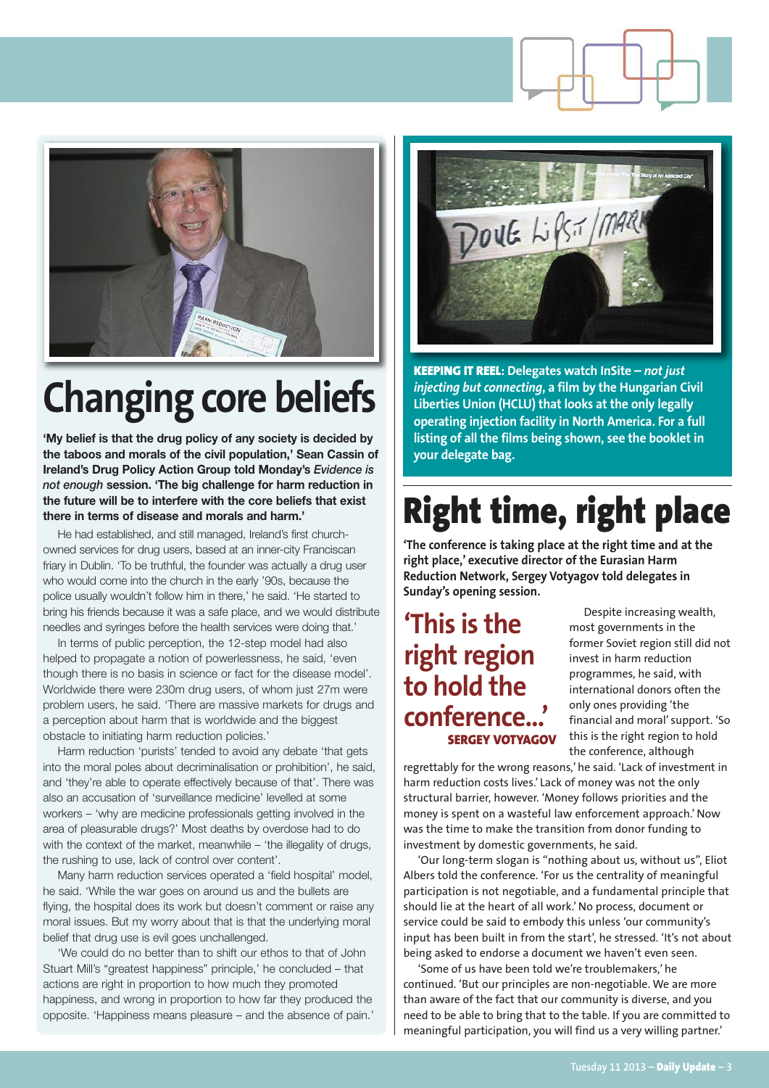

## **Changing core beliefs**

**'My belief is that the drug policy of any society is decided by the taboos and morals of the civil population,' Sean Cassin of Ireland's Drug Policy Action Group told Monday's** *Evidence is not enough* **session. 'The big challenge for harm reduction in the future will be to interfere with the core beliefs that exist there in terms of disease and morals and harm.'**

He had established, and still managed, Ireland's first churchowned services for drug users, based at an inner-city Franciscan friary in Dublin. 'To be truthful, the founder was actually a drug user who would come into the church in the early '90s, because the police usually wouldn't follow him in there,' he said. 'He started to bring his friends because it was a safe place, and we would distribute needles and syringes before the health services were doing that.'

In terms of public perception, the 12-step model had also helped to propagate a notion of powerlessness, he said, 'even though there is no basis in science or fact for the disease model'. Worldwide there were 230m drug users, of whom just 27m were problem users, he said. 'There are massive markets for drugs and a perception about harm that is worldwide and the biggest obstacle to initiating harm reduction policies.'

Harm reduction 'purists' tended to avoid any debate 'that gets into the moral poles about decriminalisation or prohibition', he said, and 'they're able to operate effectively because of that'. There was also an accusation of 'surveillance medicine' levelled at some workers – 'why are medicine professionals getting involved in the area of pleasurable drugs?' Most deaths by overdose had to do with the context of the market, meanwhile – 'the illegality of drugs, the rushing to use, lack of control over content'.

Many harm reduction services operated a 'field hospital' model, he said. 'While the war goes on around us and the bullets are flying, the hospital does its work but doesn't comment or raise any moral issues. But my worry about that is that the underlying moral belief that drug use is evil goes unchallenged.

'We could do no better than to shift our ethos to that of John Stuart Mill's "greatest happiness" principle,' he concluded – that actions are right in proportion to how much they promoted happiness, and wrong in proportion to how far they produced the opposite. 'Happiness means pleasure – and the absence of pain.'



**KEEPING IT REEL: Delegates watch InSite –** *not just injecting but connecting***, a film by the Hungarian Civil Liberties Union (HCLU) that looks at the only legally operating injection facility in North America. For a full listing of all the films being shown, see the booklet in your delegate bag.**

## **Right time, right place**

**'The conference is taking place at the right time and at the right place,' executive director of the Eurasian Harm Reduction Network, Sergey Votyagov told delegates in Sunday's opening session.**

### **'This is the right region to hold the conference...' SERGEY VOTYAGOV**

Despite increasing wealth, most governments in the former Soviet region still did not invest in harm reduction programmes, he said, with international donors often the only ones providing 'the financial and moral' support. 'So this is the right region to hold the conference, although

regrettably for the wrong reasons,' he said. 'Lack of investment in harm reduction costs lives.' Lack of money was not the only structural barrier, however. 'Money follows priorities and the money is spent on a wasteful law enforcement approach.' Now was the time to make the transition from donor funding to investment by domestic governments, he said.

'Our long-term slogan is "nothing about us, without us", Eliot Albers told the conference. 'For us the centrality of meaningful participation is not negotiable, and a fundamental principle that should lie at the heart of all work.' No process, document or service could be said to embody this unless 'our community's input has been built in from the start', he stressed. 'It's not about being asked to endorse a document we haven't even seen.

'Some of us have been told we're troublemakers,' he continued. 'But our principles are non-negotiable. We are more than aware of the fact that our community is diverse, and you need to be able to bring that to the table. If you are committed to meaningful participation, you will find us a very willing partner.'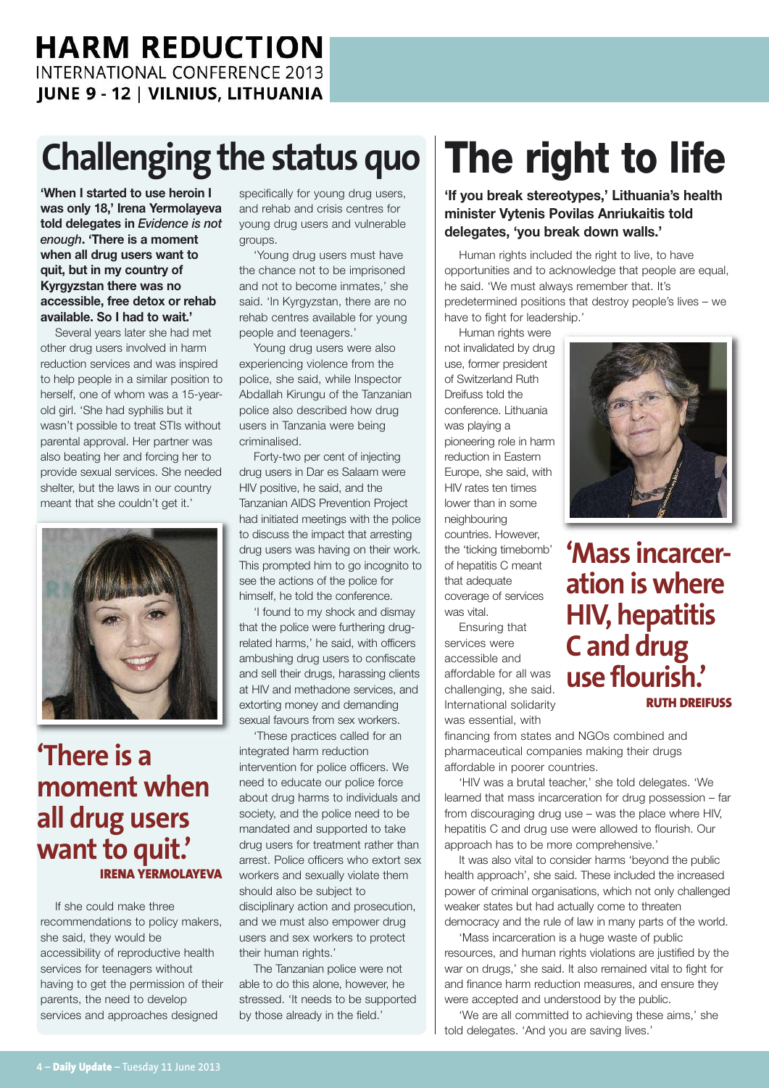## **Challenging the status quo**

**'When I started to use heroin I was only 18,' Irena Yermolayeva told delegates in** *Evidence is not enough***. 'There is a moment when all drug users want to quit, but in my country of Kyrgyzstan there was no accessible, free detox or rehab available. So I had to wait.'**

Several years later she had met other drug users involved in harm reduction services and was inspired to help people in a similar position to herself, one of whom was a 15-yearold girl. 'She had syphilis but it wasn't possible to treat STIs without parental approval. Her partner was also beating her and forcing her to provide sexual services. She needed shelter, but the laws in our country meant that she couldn't get it.'



### **'There is a moment when all drug users want to quit.' IRENA YERMOLAYEVA**

If she could make three recommendations to policy makers, she said, they would be accessibility of reproductive health services for teenagers without having to get the permission of their parents, the need to develop services and approaches designed

specifically for young drug users, and rehab and crisis centres for young drug users and vulnerable groups.

'Young drug users must have the chance not to be imprisoned and not to become inmates,' she said. 'In Kyrgyzstan, there are no rehab centres available for young people and teenagers.'

Young drug users were also experiencing violence from the police, she said, while Inspector Abdallah Kirungu of the Tanzanian police also described how drug users in Tanzania were being criminalised.

Forty-two per cent of injecting drug users in Dar es Salaam were HIV positive, he said, and the Tanzanian AIDS Prevention Project had initiated meetings with the police to discuss the impact that arresting drug users was having on their work. This prompted him to go incognito to see the actions of the police for himself, he told the conference.

'I found to my shock and dismay that the police were furthering drugrelated harms,' he said, with officers ambushing drug users to confiscate and sell their drugs, harassing clients at HIV and methadone services, and extorting money and demanding sexual favours from sex workers.

'These practices called for an integrated harm reduction intervention for police officers. We need to educate our police force about drug harms to individuals and society, and the police need to be mandated and supported to take drug users for treatment rather than arrest. Police officers who extort sex workers and sexually violate them should also be subject to disciplinary action and prosecution, and we must also empower drug users and sex workers to protect their human rights.'

The Tanzanian police were not able to do this alone, however, he stressed. 'It needs to be supported by those already in the field.'

## **The right to life**

**'If you break stereotypes,' Lithuania's health minister Vytenis Povilas Anriukaitis told delegates, 'you break down walls.'**

Human rights included the right to live, to have opportunities and to acknowledge that people are equal, he said. 'We must always remember that. It's predetermined positions that destroy people's lives – we have to fight for leadership.'

Human rights were

not invalidated by drug use, former president of Switzerland Ruth Dreifuss told the conference. Lithuania was playing a pioneering role in harm reduction in Eastern Europe, she said, with HIV rates ten times lower than in some neighbouring countries. However, the 'ticking timebomb' of hepatitis C meant that adequate coverage of services was vital.

Ensuring that services were accessible and affordable for all was challenging, she said. International solidarity was essential, with



'HIV was a brutal teacher,' she told delegates. 'We learned that mass incarceration for drug possession – far from discouraging drug use – was the place where HIV, hepatitis C and drug use were allowed to flourish. Our approach has to be more comprehensive.'

It was also vital to consider harms 'beyond the public health approach', she said. These included the increased power of criminal organisations, which not only challenged weaker states but had actually come to threaten democracy and the rule of law in many parts of the world.

'Mass incarceration is a huge waste of public resources, and human rights violations are justified by the war on drugs,' she said. It also remained vital to fight for and finance harm reduction measures, and ensure they were accepted and understood by the public.

'We are all committed to achieving these aims,' she told delegates. 'And you are saving lives.'



**'Mass incarceration iswhere HIV, hepatitis C and drug use flourish.' RUTH DREIFUSS**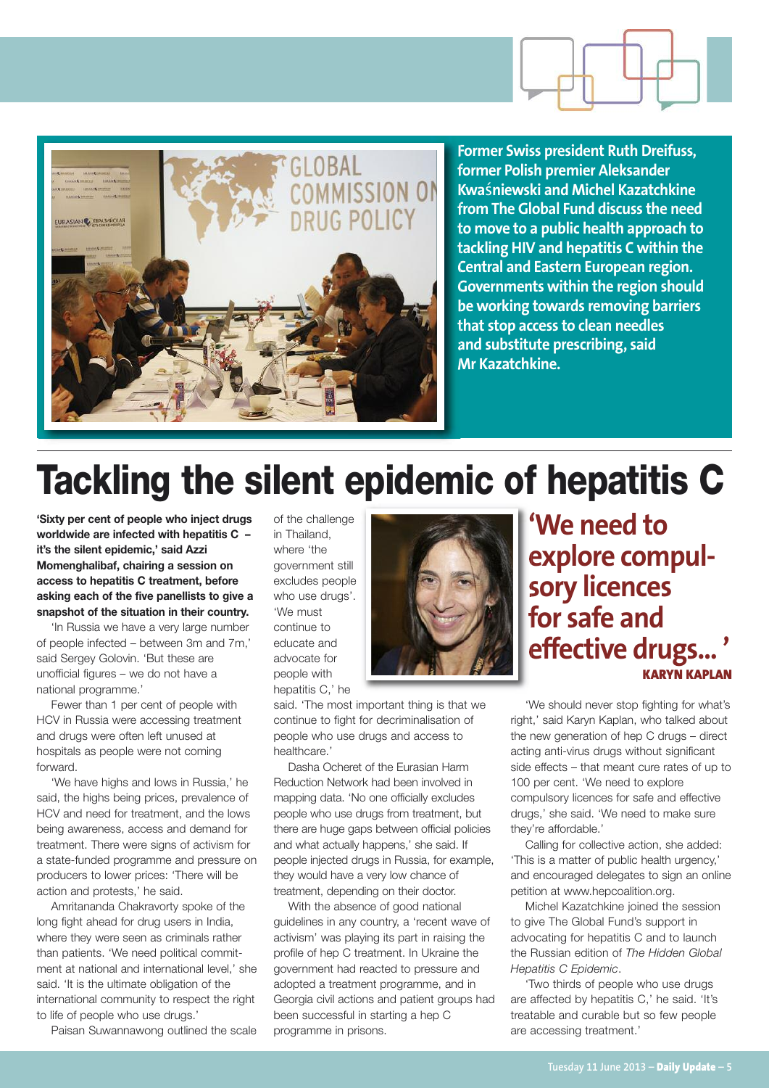

**Former Swiss president Ruth Dreifuss, former Polish premier Aleksander Kwa**ś**niewski and Michel Kazatchkine from The Global Fund discuss the need to move to a public health approach to tackling HIV and hepatitis C within the Central and Eastern European region. Governments within the region should be working towards removing barriers that stop access to clean needles and substitute prescribing, said Mr Kazatchkine.**

## **Tackling the silent epidemic of hepatitis C**

**'Sixty per cent of people who inject drugs worldwide are infected with hepatitis C – it's the silent epidemic,' said Azzi Momenghalibaf, chairing a session on access to hepatitis C treatment, before asking each of the five panellists to give a snapshot of the situation in their country.**

'In Russia we have a very large number of people infected – between 3m and 7m,' said Sergey Golovin. 'But these are unofficial figures – we do not have a national programme.'

Fewer than 1 per cent of people with HCV in Russia were accessing treatment and drugs were often left unused at hospitals as people were not coming forward.

'We have highs and lows in Russia,' he said, the highs being prices, prevalence of HCV and need for treatment, and the lows being awareness, access and demand for treatment. There were signs of activism for a state-funded programme and pressure on producers to lower prices: 'There will be action and protests,' he said.

Amritananda Chakravorty spoke of the long fight ahead for drug users in India, where they were seen as criminals rather than patients. 'We need political commitment at national and international level,' she said. 'It is the ultimate obligation of the international community to respect the right to life of people who use drugs.'

Paisan Suwannawong outlined the scale

of the challenge in Thailand, where 'the government still excludes people who use drugs'. 'We must continue to educate and advocate for people with hepatitis C,' he



said. 'The most important thing is that we continue to fight for decriminalisation of people who use drugs and access to healthcare.'

Dasha Ocheret of the Eurasian Harm Reduction Network had been involved in mapping data. 'No one officially excludes people who use drugs from treatment, but there are huge gaps between official policies and what actually happens,' she said. If people injected drugs in Russia, for example, they would have a very low chance of treatment, depending on their doctor.

With the absence of good national guidelines in any country, a 'recent wave of activism' was playing its part in raising the profile of hep C treatment. In Ukraine the government had reacted to pressure and adopted a treatment programme, and in Georgia civil actions and patient groups had been successful in starting a hep C programme in prisons.

**'We need to explore compulsory licences for safe and effective drugs... ' KARYN KAPLAN**

'We should never stop fighting for what's right,' said Karyn Kaplan, who talked about the new generation of hep C drugs – direct acting anti-virus drugs without significant side effects – that meant cure rates of up to 100 per cent. 'We need to explore compulsory licences for safe and effective drugs,' she said. 'We need to make sure they're affordable.'

Calling for collective action, she added: 'This is a matter of public health urgency,' and encouraged delegates to sign an online petition at www.hepcoalition.org.

Michel Kazatchkine joined the session to give The Global Fund's support in advocating for hepatitis C and to launch the Russian edition of *The Hidden Global Hepatitis C Epidemic*.

'Two thirds of people who use drugs are affected by hepatitis C,' he said. 'It's treatable and curable but so few people are accessing treatment.'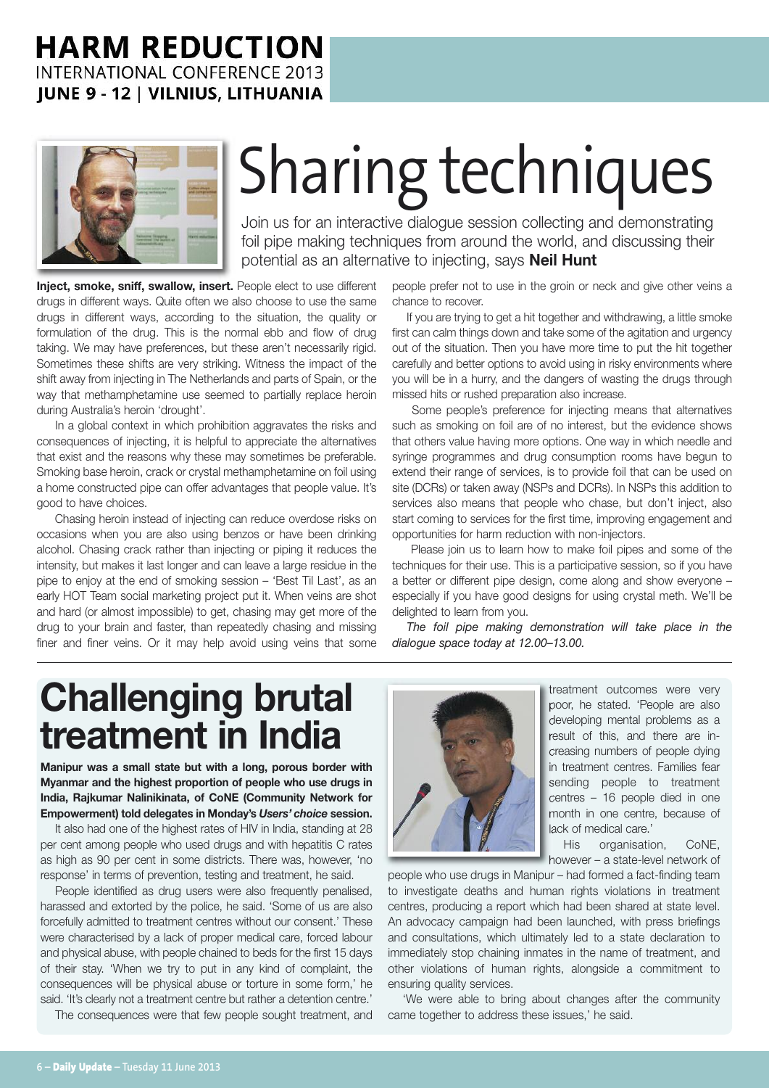### **HARM REDUCTION INTERNATIONAL CONFERENCE 2013 JUNE 9 - 12 | VILNIUS, LITHUANIA**



# Sharing techniques

Join us for an interactive dialogue session collecting and demonstrating foil pipe making techniques from around the world, and discussing their potential as an alternative to injecting, says **Neil Hunt**

**Inject, smoke, sniff, swallow, insert.** People elect to use different drugs in different ways. Quite often we also choose to use the same drugs in different ways, according to the situation, the quality or formulation of the drug. This is the normal ebb and flow of drug taking. We may have preferences, but these aren't necessarily rigid. Sometimes these shifts are very striking. Witness the impact of the shift away from injecting in The Netherlands and parts of Spain, or the way that methamphetamine use seemed to partially replace heroin during Australia's heroin 'drought'.

In a global context in which prohibition aggravates the risks and consequences of injecting, it is helpful to appreciate the alternatives that exist and the reasons why these may sometimes be preferable. Smoking base heroin, crack or crystal methamphetamine on foil using a home constructed pipe can offer advantages that people value. It's good to have choices.

Chasing heroin instead of injecting can reduce overdose risks on occasions when you are also using benzos or have been drinking alcohol. Chasing crack rather than injecting or piping it reduces the intensity, but makes it last longer and can leave a large residue in the pipe to enjoy at the end of smoking session – 'Best Til Last', as an early HOT Team social marketing project put it. When veins are shot and hard (or almost impossible) to get, chasing may get more of the drug to your brain and faster, than repeatedly chasing and missing finer and finer veins. Or it may help avoid using veins that some

people prefer not to use in the groin or neck and give other veins a chance to recover.

If you are trying to get a hit together and withdrawing, a little smoke first can calm things down and take some of the agitation and urgency out of the situation. Then you have more time to put the hit together carefully and better options to avoid using in risky environments where you will be in a hurry, and the dangers of wasting the drugs through missed hits or rushed preparation also increase.

Some people's preference for injecting means that alternatives such as smoking on foil are of no interest, but the evidence shows that others value having more options. One way in which needle and syringe programmes and drug consumption rooms have begun to extend their range of services, is to provide foil that can be used on site (DCRs) or taken away (NSPs and DCRs). In NSPs this addition to services also means that people who chase, but don't inject, also start coming to services for the first time, improving engagement and opportunities for harm reduction with non-injectors.

Please join us to learn how to make foil pipes and some of the techniques for their use. This is a participative session, so if you have a better or different pipe design, come along and show everyone – especially if you have good designs for using crystal meth. We'll be delighted to learn from you.

*The foil pipe making demonstration will take place in the dialogue space today at 12.00–13.00.*

## **Challenging brutal treatment in India**

**Manipur was a small state but with a long, porous border with Myanmar and the highest proportion of people who use drugs in India, Rajkumar Nalinikinata, of CoNE (Community Network for Empowerment) told delegates in Monday's** *Users' choice* **session.**

It also had one of the highest rates of HIV in India, standing at 28 per cent among people who used drugs and with hepatitis C rates as high as 90 per cent in some districts. There was, however, 'no response' in terms of prevention, testing and treatment, he said.

People identified as drug users were also frequently penalised, harassed and extorted by the police, he said. 'Some of us are also forcefully admitted to treatment centres without our consent.' These were characterised by a lack of proper medical care, forced labour and physical abuse, with people chained to beds for the first 15 days of their stay. 'When we try to put in any kind of complaint, the consequences will be physical abuse or torture in some form,' he said. 'It's clearly not a treatment centre but rather a detention centre.'

The consequences were that few people sought treatment, and



treatment outcomes were very poor, he stated. 'People are also developing mental problems as a result of this, and there are increasing numbers of people dying in treatment centres. Families fear sending people to treatment centres – 16 people died in one month in one centre, because of lack of medical care.'

His organisation, CoNE, however – a state-level network of

people who use drugs in Manipur – had formed a fact-finding team to investigate deaths and human rights violations in treatment centres, producing a report which had been shared at state level. An advocacy campaign had been launched, with press briefings and consultations, which ultimately led to a state declaration to immediately stop chaining inmates in the name of treatment, and other violations of human rights, alongside a commitment to ensuring quality services.

'We were able to bring about changes after the community came together to address these issues,' he said.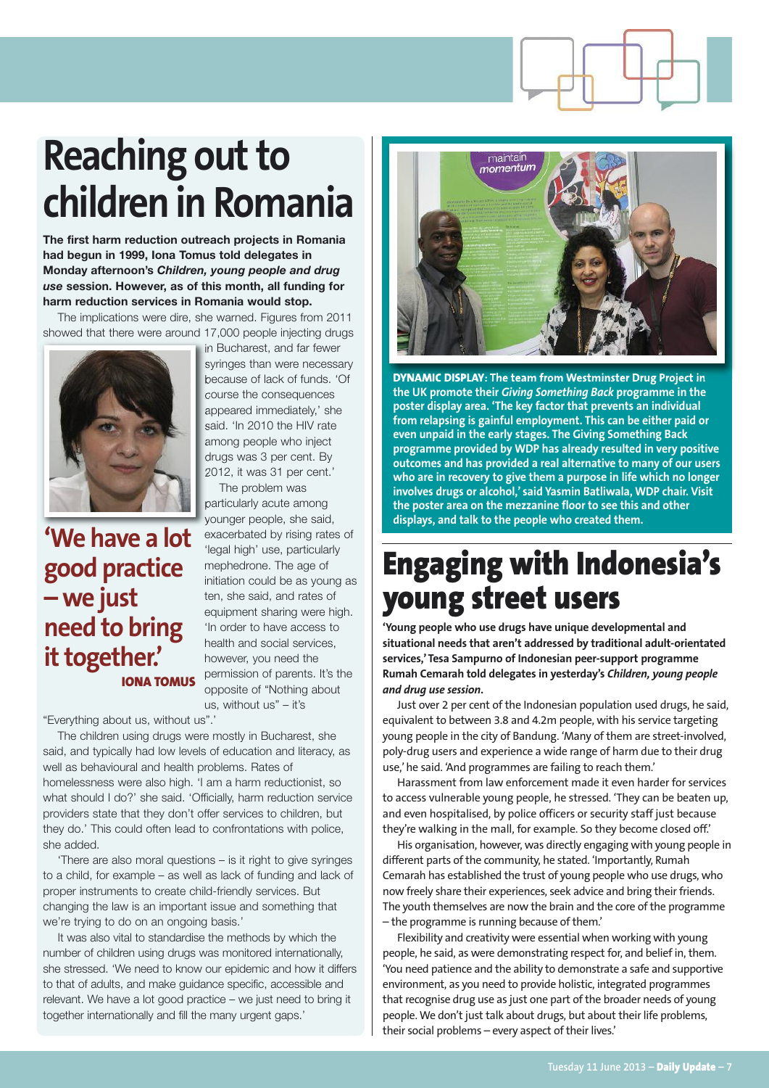## **Reaching** out to **children in Romania**

**The first harm reduction outreach projects in Romania had begun in 1999, Iona Tomus told delegates in Monday afternoon's** *Children, young people and drug use* **session. However, as of this month, all funding for harm reduction services in Romania would stop.**

The implications were dire, she warned. Figures from 2011 showed that there were around 17,000 people injecting drugs



**'We have a lot good practice – we just need to bring** it together.' **IONA TOMUS** in Bucharest, and far fewer syringes than were necessary because of lack of funds. 'Of course the consequences appeared immediately,' she said. 'In 2010 the HIV rate among people who inject drugs was 3 per cent. By 2012, it was 31 per cent.'

The problem was particularly acute among younger people, she said, exacerbated by rising rates of 'legal high' use, particularly mephedrone. The age of initiation could be as young as ten, she said, and rates of equipment sharing were high. 'In order to have access to health and social services, however, you need the permission of parents. It's the opposite of "Nothing about us, without us" – it's

"Everything about us, without us".'

The children using drugs were mostly in Bucharest, she said, and typically had low levels of education and literacy, as well as behavioural and health problems. Rates of homelessness were also high. 'I am a harm reductionist, so what should I do?' she said. 'Officially, harm reduction service providers state that they don't offer services to children, but they do.' This could often lead to confrontations with police, she added.

'There are also moral questions – is it right to give syringes to a child, for example – as well as lack of funding and lack of proper instruments to create child-friendly services. But changing the law is an important issue and something that we're trying to do on an ongoing basis.'

It was also vital to standardise the methods by which the number of children using drugs was monitored internationally, she stressed. 'We need to know our epidemic and how it differs to that of adults, and make guidance specific, accessible and relevant. We have a lot good practice – we just need to bring it together internationally and fill the many urgent gaps.'



**DYNAMIC DISPLAY: The team from Westminster Drug Project in the UK promote their** *Giving Something Back* **programme in the poster display area. 'The key factor that prevents an individual from relapsing is gainful employment. This can be either paid or even unpaid in the early stages. The Giving Something Back programme provided by WDP has already resulted in very positive outcomes and has provided a real alternative to many of our users who are in recovery to give them a purpose in life which no longer involves drugs or alcohol,' said Yasmin Batliwala, WDP chair. Visit the poster area on the mezzanine floor to see this and other displays, and talk to the people who created them.**

## **Engaging with Indonesia's young street users**

**'Young people who use drugs have unique developmental and situational needs that aren't addressed by traditional adult-orientated services,'Tesa Sampurno of Indonesian peer-support programme Rumah Cemarah told delegates in yesterday's** *Children, young people and drug use session***.**

Just over 2 per cent of the Indonesian population used drugs, he said, equivalent to between 3.8 and 4.2m people, with his service targeting young people in the city of Bandung. 'Many of them are street-involved, poly-drug users and experience a wide range of harm due to their drug use,'he said. 'And programmes are failing to reach them.'

Harassment from law enforcement made it even harder for services to access vulnerable young people, he stressed. 'They can be beaten up, and even hospitalised, by police officers or security staff just because they're walking in the mall, for example. So they become closed off.'

His organisation, however, was directly engaging with young people in different parts of the community, he stated. 'Importantly, Rumah Cemarah has established the trust of young people who use drugs, who now freely share their experiences, seek advice and bring their friends. The youth themselves are now the brain and the core of the programme – the programme is running because of them.'

Flexibility and creativity were essential when working with young people, he said, as were demonstrating respect for, and belief in, them. 'You need patience and the ability to demonstrate a safe and supportive environment, as you need to provide holistic, integrated programmes that recognise drug use as just one part of the broader needs of young people. We don't just talk about drugs, but about their life problems, their social problems - every aspect of their lives.'